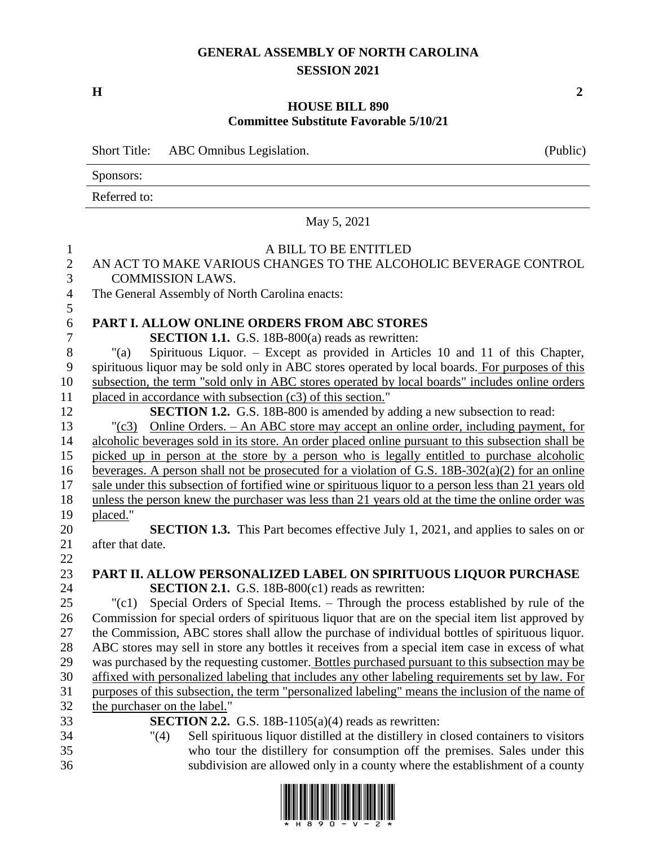## **GENERAL ASSEMBLY OF NORTH CAROLINA SESSION 2021**

**H 2**

## **HOUSE BILL 890 Committee Substitute Favorable 5/10/21**

|                | <b>Short Title:</b><br>ABC Omnibus Legislation.                                                                                                                                                          | (Public) |  |
|----------------|----------------------------------------------------------------------------------------------------------------------------------------------------------------------------------------------------------|----------|--|
|                | Sponsors:                                                                                                                                                                                                |          |  |
|                | Referred to:                                                                                                                                                                                             |          |  |
|                | May 5, 2021                                                                                                                                                                                              |          |  |
| $\mathbf{1}$   | A BILL TO BE ENTITLED                                                                                                                                                                                    |          |  |
| $\sqrt{2}$     | AN ACT TO MAKE VARIOUS CHANGES TO THE ALCOHOLIC BEVERAGE CONTROL                                                                                                                                         |          |  |
| 3              | <b>COMMISSION LAWS.</b>                                                                                                                                                                                  |          |  |
| $\overline{4}$ | The General Assembly of North Carolina enacts:                                                                                                                                                           |          |  |
| 5              |                                                                                                                                                                                                          |          |  |
| 6              | PART I. ALLOW ONLINE ORDERS FROM ABC STORES                                                                                                                                                              |          |  |
| $\tau$         | <b>SECTION 1.1.</b> G.S. 18B-800(a) reads as rewritten:                                                                                                                                                  |          |  |
| $8\,$          | Spirituous Liquor. – Except as provided in Articles 10 and 11 of this Chapter,<br>" $(a)$                                                                                                                |          |  |
| 9              | spirituous liquor may be sold only in ABC stores operated by local boards. For purposes of this                                                                                                          |          |  |
| 10             | subsection, the term "sold only in ABC stores operated by local boards" includes online orders                                                                                                           |          |  |
| 11             | placed in accordance with subsection (c3) of this section."                                                                                                                                              |          |  |
| 12             | <b>SECTION 1.2.</b> G.S. 18B-800 is amended by adding a new subsection to read:                                                                                                                          |          |  |
| 13             | Online Orders. – An ABC store may accept an online order, including payment, for<br>$"({c}3)$                                                                                                            |          |  |
| 14             | alcoholic beverages sold in its store. An order placed online pursuant to this subsection shall be                                                                                                       |          |  |
| 15             | picked up in person at the store by a person who is legally entitled to purchase alcoholic                                                                                                               |          |  |
| 16<br>17       | beverages. A person shall not be prosecuted for a violation of G.S. $18B-302(a)(2)$ for an online                                                                                                        |          |  |
| 18             | sale under this subsection of fortified wine or spirituous liquor to a person less than 21 years old<br>unless the person knew the purchaser was less than 21 years old at the time the online order was |          |  |
| 19             | placed."                                                                                                                                                                                                 |          |  |
| 20             | <b>SECTION 1.3.</b> This Part becomes effective July 1, 2021, and applies to sales on or                                                                                                                 |          |  |
| 21             | after that date.                                                                                                                                                                                         |          |  |
| 22             |                                                                                                                                                                                                          |          |  |
| 23             | PART II. ALLOW PERSONALIZED LABEL ON SPIRITUOUS LIQUOR PURCHASE                                                                                                                                          |          |  |
| 24             | <b>SECTION 2.1.</b> G.S. 18B-800(c1) reads as rewritten:                                                                                                                                                 |          |  |
| 25             | Special Orders of Special Items. - Through the process established by rule of the<br>"(c1)                                                                                                               |          |  |
| $26\,$         | Commission for special orders of spirituous liquor that are on the special item list approved by                                                                                                         |          |  |
| 27             | the Commission, ABC stores shall allow the purchase of individual bottles of spirituous liquor.                                                                                                          |          |  |
| 28             | ABC stores may sell in store any bottles it receives from a special item case in excess of what                                                                                                          |          |  |
| 29             | was purchased by the requesting customer. Bottles purchased pursuant to this subsection may be                                                                                                           |          |  |
| 30             | affixed with personalized labeling that includes any other labeling requirements set by law. For                                                                                                         |          |  |
| 31             | purposes of this subsection, the term "personalized labeling" means the inclusion of the name of                                                                                                         |          |  |
| 32             | the purchaser on the label."                                                                                                                                                                             |          |  |
| 33             | <b>SECTION 2.2.</b> G.S. 18B-1105(a)(4) reads as rewritten:                                                                                                                                              |          |  |
| 34             | Sell spirituous liquor distilled at the distillery in closed containers to visitors<br>"(4)                                                                                                              |          |  |
| 35             | who tour the distillery for consumption off the premises. Sales under this                                                                                                                               |          |  |
| 36             | subdivision are allowed only in a county where the establishment of a county                                                                                                                             |          |  |

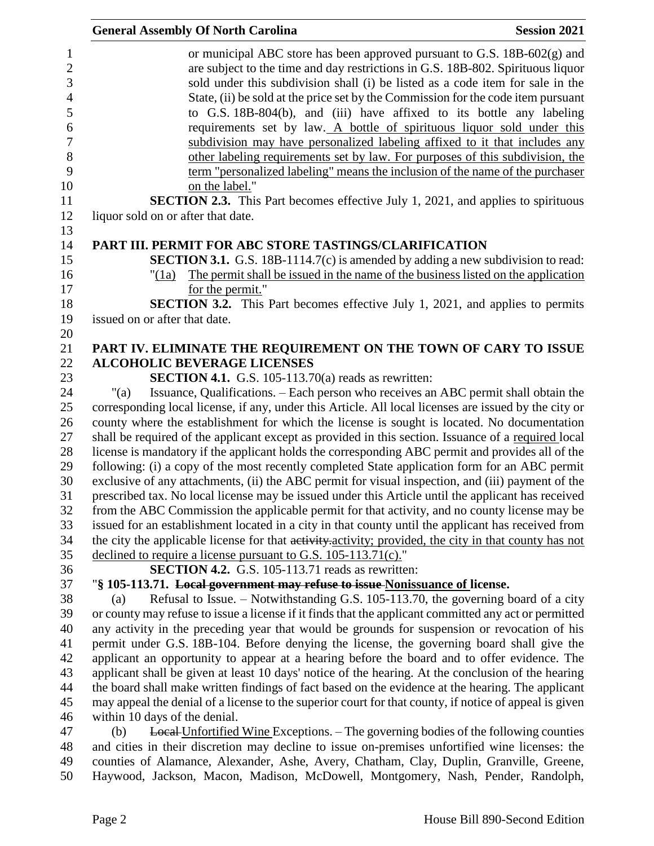| <b>General Assembly Of North Carolina</b>                                     |                                                            | <b>Session 2021</b>                                                                                                                                                                                                                                                                                                                                                                                                                                                                   |
|-------------------------------------------------------------------------------|------------------------------------------------------------|---------------------------------------------------------------------------------------------------------------------------------------------------------------------------------------------------------------------------------------------------------------------------------------------------------------------------------------------------------------------------------------------------------------------------------------------------------------------------------------|
|                                                                               |                                                            | or municipal ABC store has been approved pursuant to G.S. 18B-602(g) and<br>are subject to the time and day restrictions in G.S. 18B-802. Spirituous liquor<br>sold under this subdivision shall (i) be listed as a code item for sale in the<br>State, (ii) be sold at the price set by the Commission for the code item pursuant<br>to G.S. 18B-804(b), and (iii) have affixed to its bottle any labeling<br>requirements set by law. A bottle of spirituous liquor sold under this |
|                                                                               |                                                            | subdivision may have personalized labeling affixed to it that includes any<br>other labeling requirements set by law. For purposes of this subdivision, the<br>term "personalized labeling" means the inclusion of the name of the purchaser                                                                                                                                                                                                                                          |
| on the label."                                                                |                                                            |                                                                                                                                                                                                                                                                                                                                                                                                                                                                                       |
|                                                                               |                                                            | <b>SECTION 2.3.</b> This Part becomes effective July 1, 2021, and applies to spirituous                                                                                                                                                                                                                                                                                                                                                                                               |
| liquor sold on or after that date.                                            |                                                            |                                                                                                                                                                                                                                                                                                                                                                                                                                                                                       |
| PART III. PERMIT FOR ABC STORE TASTINGS/CLARIFICATION                         |                                                            |                                                                                                                                                                                                                                                                                                                                                                                                                                                                                       |
|                                                                               |                                                            | <b>SECTION 3.1.</b> G.S. 18B-1114.7(c) is amended by adding a new subdivision to read:                                                                                                                                                                                                                                                                                                                                                                                                |
| " $(1a)$                                                                      |                                                            | The permit shall be issued in the name of the business listed on the application                                                                                                                                                                                                                                                                                                                                                                                                      |
| for the permit."                                                              |                                                            | <b>SECTION 3.2.</b> This Part becomes effective July 1, 2021, and applies to permits                                                                                                                                                                                                                                                                                                                                                                                                  |
| issued on or after that date.                                                 |                                                            |                                                                                                                                                                                                                                                                                                                                                                                                                                                                                       |
|                                                                               |                                                            |                                                                                                                                                                                                                                                                                                                                                                                                                                                                                       |
|                                                                               |                                                            | PART IV. ELIMINATE THE REQUIREMENT ON THE TOWN OF CARY TO ISSUE                                                                                                                                                                                                                                                                                                                                                                                                                       |
| <b>ALCOHOLIC BEVERAGE LICENSES</b>                                            |                                                            |                                                                                                                                                                                                                                                                                                                                                                                                                                                                                       |
|                                                                               | <b>SECTION 4.1.</b> G.S. 105-113.70(a) reads as rewritten: |                                                                                                                                                                                                                                                                                                                                                                                                                                                                                       |
| "(a)                                                                          |                                                            | Issuance, Qualifications. – Each person who receives an ABC permit shall obtain the                                                                                                                                                                                                                                                                                                                                                                                                   |
|                                                                               |                                                            | corresponding local license, if any, under this Article. All local licenses are issued by the city or                                                                                                                                                                                                                                                                                                                                                                                 |
|                                                                               |                                                            | county where the establishment for which the license is sought is located. No documentation                                                                                                                                                                                                                                                                                                                                                                                           |
|                                                                               |                                                            | shall be required of the applicant except as provided in this section. Issuance of a required local                                                                                                                                                                                                                                                                                                                                                                                   |
|                                                                               |                                                            | license is mandatory if the applicant holds the corresponding ABC permit and provides all of the                                                                                                                                                                                                                                                                                                                                                                                      |
|                                                                               |                                                            | following: (i) a copy of the most recently completed State application form for an ABC permit                                                                                                                                                                                                                                                                                                                                                                                         |
|                                                                               |                                                            | exclusive of any attachments, (ii) the ABC permit for visual inspection, and (iii) payment of the                                                                                                                                                                                                                                                                                                                                                                                     |
|                                                                               |                                                            | prescribed tax. No local license may be issued under this Article until the applicant has received<br>from the ABC Commission the applicable permit for that activity, and no county license may be                                                                                                                                                                                                                                                                                   |
|                                                                               |                                                            | issued for an establishment located in a city in that county until the applicant has received from                                                                                                                                                                                                                                                                                                                                                                                    |
|                                                                               |                                                            | the city the applicable license for that activity-activity; provided, the city in that county has not                                                                                                                                                                                                                                                                                                                                                                                 |
| declined to require a license pursuant to G.S. 105-113.71(c)."                |                                                            |                                                                                                                                                                                                                                                                                                                                                                                                                                                                                       |
|                                                                               | SECTION 4.2. G.S. 105-113.71 reads as rewritten:           |                                                                                                                                                                                                                                                                                                                                                                                                                                                                                       |
| "\\$ 105-113.71. Local government may refuse to issue Nonissuance of license. |                                                            |                                                                                                                                                                                                                                                                                                                                                                                                                                                                                       |
| (a)                                                                           |                                                            | Refusal to Issue. – Notwithstanding G.S. 105-113.70, the governing board of a city                                                                                                                                                                                                                                                                                                                                                                                                    |
|                                                                               |                                                            | or county may refuse to issue a license if it finds that the applicant committed any act or permitted                                                                                                                                                                                                                                                                                                                                                                                 |
|                                                                               |                                                            | any activity in the preceding year that would be grounds for suspension or revocation of his                                                                                                                                                                                                                                                                                                                                                                                          |
|                                                                               |                                                            | permit under G.S. 18B-104. Before denying the license, the governing board shall give the                                                                                                                                                                                                                                                                                                                                                                                             |
|                                                                               |                                                            | applicant an opportunity to appear at a hearing before the board and to offer evidence. The                                                                                                                                                                                                                                                                                                                                                                                           |
|                                                                               |                                                            | applicant shall be given at least 10 days' notice of the hearing. At the conclusion of the hearing                                                                                                                                                                                                                                                                                                                                                                                    |
|                                                                               |                                                            | the board shall make written findings of fact based on the evidence at the hearing. The applicant                                                                                                                                                                                                                                                                                                                                                                                     |
|                                                                               |                                                            | may appeal the denial of a license to the superior court for that county, if notice of appeal is given                                                                                                                                                                                                                                                                                                                                                                                |
| within 10 days of the denial.                                                 |                                                            |                                                                                                                                                                                                                                                                                                                                                                                                                                                                                       |
| (b)                                                                           |                                                            | <b>Local Unfortified Wine Exceptions.</b> – The governing bodies of the following counties                                                                                                                                                                                                                                                                                                                                                                                            |
|                                                                               |                                                            | and cities in their discretion may decline to issue on-premises unfortified wine licenses: the                                                                                                                                                                                                                                                                                                                                                                                        |
|                                                                               |                                                            | counties of Alamance, Alexander, Ashe, Avery, Chatham, Clay, Duplin, Granville, Greene,<br>Haywood, Jackson, Macon, Madison, McDowell, Montgomery, Nash, Pender, Randolph,                                                                                                                                                                                                                                                                                                            |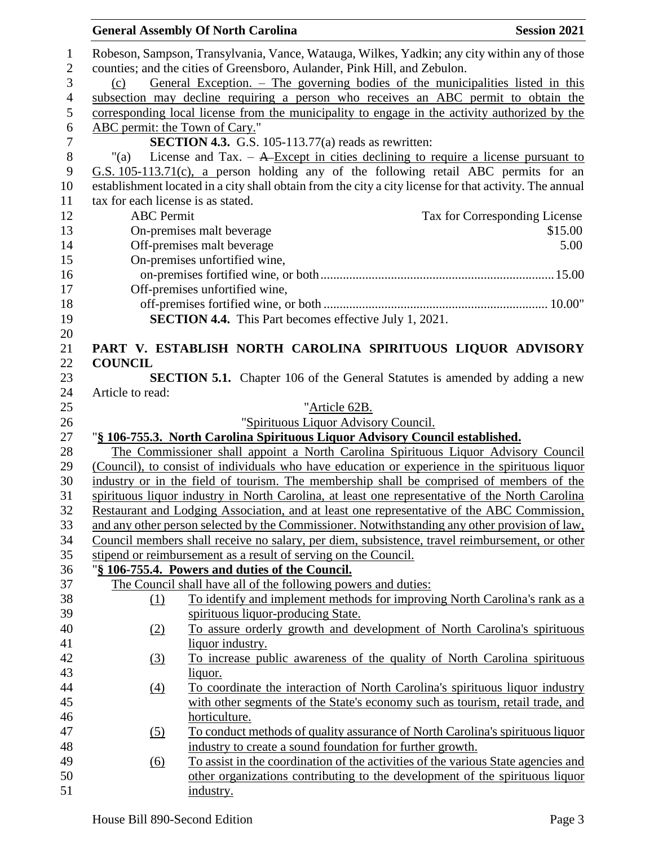|                |                                    | <b>General Assembly Of North Carolina</b>                                                               | <b>Session 2021</b>           |
|----------------|------------------------------------|---------------------------------------------------------------------------------------------------------|-------------------------------|
| 1              |                                    | Robeson, Sampson, Transylvania, Vance, Watauga, Wilkes, Yadkin; any city within any of those            |                               |
| $\mathbf{2}$   |                                    | counties; and the cities of Greensboro, Aulander, Pink Hill, and Zebulon.                               |                               |
| 3              | (c)                                | General Exception. – The governing bodies of the municipalities listed in this                          |                               |
| $\overline{4}$ |                                    | subsection may decline requiring a person who receives an ABC permit to obtain the                      |                               |
| 5              |                                    | corresponding local license from the municipality to engage in the activity authorized by the           |                               |
| 6              | ABC permit: the Town of Cary."     |                                                                                                         |                               |
| $\overline{7}$ |                                    | <b>SECTION 4.3.</b> G.S. 105-113.77(a) reads as rewritten:                                              |                               |
| $8\,$          | "(a)                               | License and Tax. $-$ A-Except in cities declining to require a license pursuant to                      |                               |
| 9              |                                    | G.S. 105-113.71(c), a person holding any of the following retail ABC permits for an                     |                               |
| 10             |                                    | establishment located in a city shall obtain from the city a city license for that activity. The annual |                               |
| 11             | tax for each license is as stated. |                                                                                                         |                               |
| 12             | <b>ABC</b> Permit                  |                                                                                                         | Tax for Corresponding License |
| 13             |                                    | On-premises malt beverage                                                                               | \$15.00                       |
| 14             |                                    | Off-premises malt beverage                                                                              | 5.00                          |
| 15             |                                    | On-premises unfortified wine,                                                                           |                               |
| 16             |                                    |                                                                                                         |                               |
| 17             |                                    | Off-premises unfortified wine,                                                                          |                               |
| 18             |                                    |                                                                                                         |                               |
| 19             |                                    | <b>SECTION 4.4.</b> This Part becomes effective July 1, 2021.                                           |                               |
| 20             |                                    |                                                                                                         |                               |
| 21             |                                    | PART V. ESTABLISH NORTH CAROLINA SPIRITUOUS LIQUOR ADVISORY                                             |                               |
| 22             | <b>COUNCIL</b>                     |                                                                                                         |                               |
| 23             |                                    | <b>SECTION 5.1.</b> Chapter 106 of the General Statutes is amended by adding a new                      |                               |
| 24             | Article to read:                   |                                                                                                         |                               |
| 25             |                                    | "Article 62B.                                                                                           |                               |
| 26             |                                    | "Spirituous Liquor Advisory Council.                                                                    |                               |
| 27             |                                    | "§ 106-755.3. North Carolina Spirituous Liquor Advisory Council established.                            |                               |
| 28             |                                    | The Commissioner shall appoint a North Carolina Spirituous Liquor Advisory Council                      |                               |
| 29             |                                    | (Council), to consist of individuals who have education or experience in the spirituous liquor          |                               |
| 30             |                                    | industry or in the field of tourism. The membership shall be comprised of members of the                |                               |
| 31             |                                    | spirituous liquor industry in North Carolina, at least one representative of the North Carolina         |                               |
| 32             |                                    | Restaurant and Lodging Association, and at least one representative of the ABC Commission,              |                               |
| 33             |                                    | and any other person selected by the Commissioner. Notwithstanding any other provision of law,          |                               |
| 34             |                                    | Council members shall receive no salary, per diem, subsistence, travel reimbursement, or other          |                               |
| 35             |                                    | stipend or reimbursement as a result of serving on the Council.                                         |                               |
| 36             |                                    | "§ 106-755.4. Powers and duties of the Council.                                                         |                               |
| 37             |                                    | The Council shall have all of the following powers and duties:                                          |                               |
| 38             | (1)                                | To identify and implement methods for improving North Carolina's rank as a                              |                               |
| 39             |                                    | spirituous liquor-producing State.                                                                      |                               |
| 40             | (2)                                | To assure orderly growth and development of North Carolina's spirituous                                 |                               |
| 41             |                                    | liquor industry.                                                                                        |                               |
| 42             | (3)                                | To increase public awareness of the quality of North Carolina spirituous                                |                               |
| 43             |                                    | liquor.                                                                                                 |                               |
| 44             | $\underline{(4)}$                  | <u>To coordinate the interaction of North Carolina's spirituous liquor industry</u>                     |                               |
| 45             |                                    | with other segments of the State's economy such as tourism, retail trade, and                           |                               |
| 46             |                                    | horticulture.                                                                                           |                               |
| 47             | (5)                                | To conduct methods of quality assurance of North Carolina's spirituous liquor                           |                               |
| 48             |                                    | industry to create a sound foundation for further growth.                                               |                               |
| 49             | (6)                                | To assist in the coordination of the activities of the various State agencies and                       |                               |
| 50             |                                    | other organizations contributing to the development of the spirituous liquor                            |                               |
| 51             |                                    | industry.                                                                                               |                               |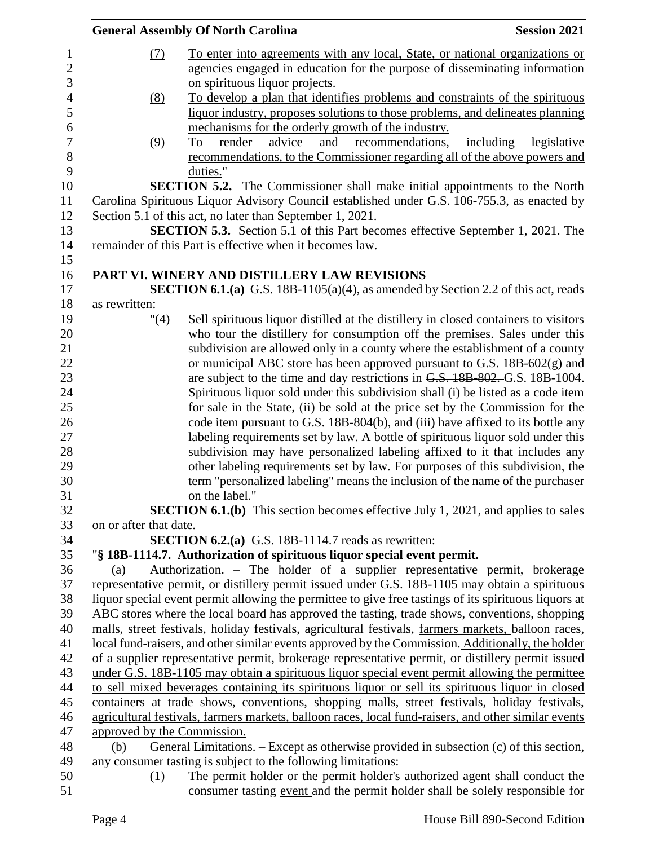|                  |                             | <b>General Assembly Of North Carolina</b><br><b>Session 2021</b>                                      |
|------------------|-----------------------------|-------------------------------------------------------------------------------------------------------|
| 1                | (7)                         | To enter into agreements with any local, State, or national organizations or                          |
| $\overline{c}$   |                             | agencies engaged in education for the purpose of disseminating information                            |
| 3                |                             | on spirituous liquor projects.                                                                        |
| $\overline{4}$   | (8)                         | To develop a plan that identifies problems and constraints of the spirituous                          |
| 5                |                             | liquor industry, proposes solutions to those problems, and delineates planning                        |
| 6                |                             | mechanisms for the orderly growth of the industry.                                                    |
| $\boldsymbol{7}$ | (9)                         | advice<br>and<br>recommendations,<br>including<br>render<br>legislative<br>To                         |
| 8                |                             | recommendations, to the Commissioner regarding all of the above powers and                            |
| 9                |                             | duties."                                                                                              |
| 10               |                             | <b>SECTION 5.2.</b> The Commissioner shall make initial appointments to the North                     |
| 11               |                             | Carolina Spirituous Liquor Advisory Council established under G.S. 106-755.3, as enacted by           |
| 12               |                             | Section 5.1 of this act, no later than September 1, 2021.                                             |
| 13               |                             | <b>SECTION 5.3.</b> Section 5.1 of this Part becomes effective September 1, 2021. The                 |
| 14               |                             | remainder of this Part is effective when it becomes law.                                              |
| 15               |                             |                                                                                                       |
| 16               |                             | PART VI. WINERY AND DISTILLERY LAW REVISIONS                                                          |
| 17               |                             | <b>SECTION 6.1.(a)</b> G.S. 18B-1105(a)(4), as amended by Section 2.2 of this act, reads              |
| 18               | as rewritten:               |                                                                                                       |
| 19               | "(4)                        | Sell spirituous liquor distilled at the distillery in closed containers to visitors                   |
| 20               |                             | who tour the distillery for consumption off the premises. Sales under this                            |
| 21               |                             | subdivision are allowed only in a county where the establishment of a county                          |
| 22               |                             | or municipal ABC store has been approved pursuant to G.S. 18B-602(g) and                              |
| 23               |                             | are subject to the time and day restrictions in G.S. 18B 802. G.S. 18B-1004.                          |
| 24               |                             | Spirituous liquor sold under this subdivision shall (i) be listed as a code item                      |
| 25               |                             | for sale in the State, (ii) be sold at the price set by the Commission for the                        |
| 26               |                             | code item pursuant to G.S. 18B-804(b), and (iii) have affixed to its bottle any                       |
| 27               |                             | labeling requirements set by law. A bottle of spirituous liquor sold under this                       |
| 28               |                             | subdivision may have personalized labeling affixed to it that includes any                            |
| 29<br>30         |                             | other labeling requirements set by law. For purposes of this subdivision, the                         |
| 31               |                             | term "personalized labeling" means the inclusion of the name of the purchaser<br>on the label."       |
| 32               |                             | <b>SECTION 6.1.(b)</b> This section becomes effective July 1, 2021, and applies to sales              |
| 33               | on or after that date.      |                                                                                                       |
| 34               |                             | <b>SECTION 6.2.(a)</b> G.S. 18B-1114.7 reads as rewritten:                                            |
| 35               |                             | "§ 18B-1114.7. Authorization of spirituous liquor special event permit.                               |
| 36               | (a)                         | Authorization. – The holder of a supplier representative permit, brokerage                            |
| 37               |                             | representative permit, or distillery permit issued under G.S. 18B-1105 may obtain a spirituous        |
| 38               |                             | liquor special event permit allowing the permittee to give free tastings of its spirituous liquors at |
| 39               |                             | ABC stores where the local board has approved the tasting, trade shows, conventions, shopping         |
| 40               |                             | malls, street festivals, holiday festivals, agricultural festivals, farmers markets, balloon races,   |
| 41               |                             | local fund-raisers, and other similar events approved by the Commission. Additionally, the holder     |
| 42               |                             | of a supplier representative permit, brokerage representative permit, or distillery permit issued     |
| 43               |                             | under G.S. 18B-1105 may obtain a spirituous liquor special event permit allowing the permittee        |
| 44               |                             | to sell mixed beverages containing its spirituous liquor or sell its spirituous liquor in closed      |
| 45               |                             | containers at trade shows, conventions, shopping malls, street festivals, holiday festivals,          |
| 46               |                             | agricultural festivals, farmers markets, balloon races, local fund-raisers, and other similar events  |
| 47               | approved by the Commission. |                                                                                                       |
| 48               | (b)                         | General Limitations. – Except as otherwise provided in subsection (c) of this section,                |
| 49               |                             | any consumer tasting is subject to the following limitations:                                         |
| 50               | (1)                         | The permit holder or the permit holder's authorized agent shall conduct the                           |
| 51               |                             | consumer tasting event and the permit holder shall be solely responsible for                          |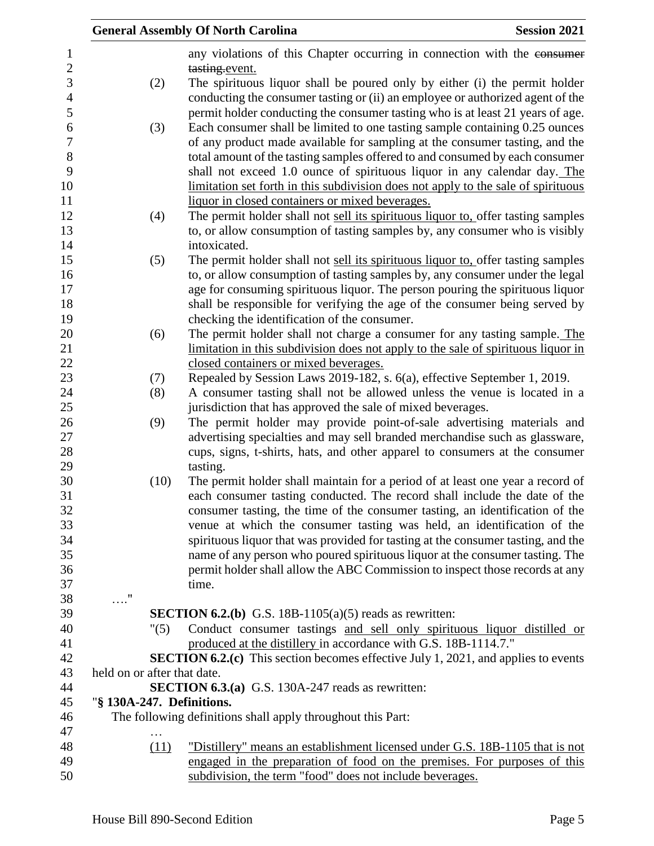|                             | <b>General Assembly Of North Carolina</b>                                                                                                                      | <b>Session 2021</b> |
|-----------------------------|----------------------------------------------------------------------------------------------------------------------------------------------------------------|---------------------|
|                             | any violations of this Chapter occurring in connection with the consumer                                                                                       |                     |
|                             | tasting.event.                                                                                                                                                 |                     |
| (2)                         | The spirituous liquor shall be poured only by either (i) the permit holder                                                                                     |                     |
|                             | conducting the consumer tasting or (ii) an employee or authorized agent of the                                                                                 |                     |
|                             | permit holder conducting the consumer tasting who is at least 21 years of age.                                                                                 |                     |
| (3)                         | Each consumer shall be limited to one tasting sample containing 0.25 ounces                                                                                    |                     |
|                             | of any product made available for sampling at the consumer tasting, and the                                                                                    |                     |
|                             | total amount of the tasting samples offered to and consumed by each consumer                                                                                   |                     |
|                             | shall not exceed 1.0 ounce of spirituous liquor in any calendar day. The                                                                                       |                     |
|                             | limitation set forth in this subdivision does not apply to the sale of spirituous                                                                              |                     |
|                             | liquor in closed containers or mixed beverages.                                                                                                                |                     |
| (4)                         | The permit holder shall not sell its spirituous liquor to, offer tasting samples                                                                               |                     |
|                             | to, or allow consumption of tasting samples by, any consumer who is visibly                                                                                    |                     |
|                             | intoxicated.                                                                                                                                                   |                     |
| (5)                         | The permit holder shall not sell its spirituous liquor to, offer tasting samples                                                                               |                     |
|                             | to, or allow consumption of tasting samples by, any consumer under the legal                                                                                   |                     |
|                             | age for consuming spirituous liquor. The person pouring the spirituous liquor                                                                                  |                     |
|                             | shall be responsible for verifying the age of the consumer being served by                                                                                     |                     |
|                             | checking the identification of the consumer.                                                                                                                   |                     |
| (6)                         | The permit holder shall not charge a consumer for any tasting sample. The<br>limitation in this subdivision does not apply to the sale of spirituous liquor in |                     |
|                             | closed containers or mixed beverages.                                                                                                                          |                     |
| (7)                         | Repealed by Session Laws 2019-182, s. 6(a), effective September 1, 2019.                                                                                       |                     |
|                             | A consumer tasting shall not be allowed unless the venue is located in a                                                                                       |                     |
| (8)                         | jurisdiction that has approved the sale of mixed beverages.                                                                                                    |                     |
| (9)                         | The permit holder may provide point-of-sale advertising materials and                                                                                          |                     |
|                             | advertising specialties and may sell branded merchandise such as glassware,                                                                                    |                     |
|                             | cups, signs, t-shirts, hats, and other apparel to consumers at the consumer                                                                                    |                     |
|                             | tasting.                                                                                                                                                       |                     |
| (10)                        | The permit holder shall maintain for a period of at least one year a record of                                                                                 |                     |
|                             | each consumer tasting conducted. The record shall include the date of the                                                                                      |                     |
|                             | consumer tasting, the time of the consumer tasting, an identification of the                                                                                   |                     |
|                             | venue at which the consumer tasting was held, an identification of the                                                                                         |                     |
|                             | spirituous liquor that was provided for tasting at the consumer tasting, and the                                                                               |                     |
|                             | name of any person who poured spirituous liquor at the consumer tasting. The                                                                                   |                     |
|                             | permit holder shall allow the ABC Commission to inspect those records at any                                                                                   |                     |
|                             | time.                                                                                                                                                          |                     |
| $\ldots$ "                  |                                                                                                                                                                |                     |
|                             | <b>SECTION 6.2.(b)</b> G.S. 18B-1105(a)(5) reads as rewritten:                                                                                                 |                     |
| "(5)                        | Conduct consumer tastings and sell only spirituous liquor distilled or                                                                                         |                     |
|                             | produced at the distillery in accordance with G.S. 18B-1114.7."                                                                                                |                     |
|                             | <b>SECTION 6.2.(c)</b> This section becomes effective July 1, 2021, and applies to events                                                                      |                     |
| held on or after that date. |                                                                                                                                                                |                     |
|                             | <b>SECTION 6.3.(a)</b> G.S. 130A-247 reads as rewritten:                                                                                                       |                     |
| "§ 130A-247. Definitions.   |                                                                                                                                                                |                     |
|                             | The following definitions shall apply throughout this Part:                                                                                                    |                     |
| .                           |                                                                                                                                                                |                     |
| (11)                        | "Distillery" means an establishment licensed under G.S. 18B-1105 that is not                                                                                   |                     |
|                             | engaged in the preparation of food on the premises. For purposes of this                                                                                       |                     |
|                             | subdivision, the term "food" does not include beverages.                                                                                                       |                     |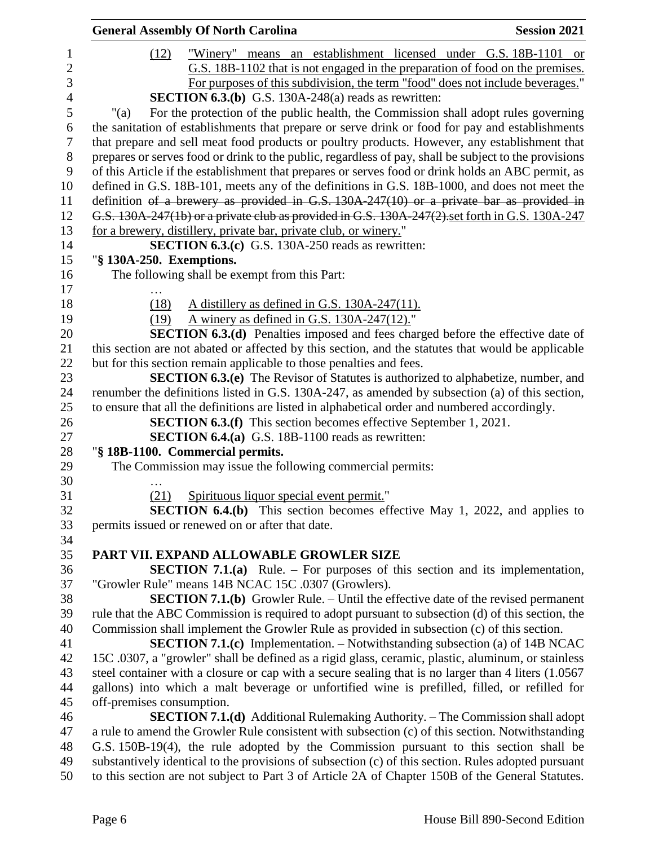|                | <b>General Assembly Of North Carolina</b><br><b>Session 2021</b>                                                                                                                                          |
|----------------|-----------------------------------------------------------------------------------------------------------------------------------------------------------------------------------------------------------|
| 1              | (12)<br>"Winery" means an establishment licensed under G.S. 18B-1101 or                                                                                                                                   |
| $\overline{c}$ | G.S. 18B-1102 that is not engaged in the preparation of food on the premises.                                                                                                                             |
| 3              | For purposes of this subdivision, the term "food" does not include beverages."                                                                                                                            |
| $\overline{4}$ | <b>SECTION 6.3.(b)</b> G.S. 130A-248(a) reads as rewritten:                                                                                                                                               |
| $\mathfrak s$  | For the protection of the public health, the Commission shall adopt rules governing<br>"(a)                                                                                                               |
| 6              | the sanitation of establishments that prepare or serve drink or food for pay and establishments                                                                                                           |
| $\tau$         | that prepare and sell meat food products or poultry products. However, any establishment that                                                                                                             |
| $8\,$          | prepares or serves food or drink to the public, regardless of pay, shall be subject to the provisions                                                                                                     |
| 9              | of this Article if the establishment that prepares or serves food or drink holds an ABC permit, as                                                                                                        |
| 10             | defined in G.S. 18B-101, meets any of the definitions in G.S. 18B-1000, and does not meet the                                                                                                             |
| 11             | definition of a brewery as provided in G.S. 130A-247(10) or a private bar as provided in                                                                                                                  |
| 12             | G.S. 130A-247(1b) or a private club as provided in G.S. 130A-247(2) set forth in G.S. 130A-247                                                                                                            |
| 13             | for a brewery, distillery, private bar, private club, or winery."                                                                                                                                         |
|                | <b>SECTION 6.3.(c)</b> G.S. 130A-250 reads as rewritten:                                                                                                                                                  |
| 14<br>15       | "§ 130A-250. Exemptions.                                                                                                                                                                                  |
| 16             | The following shall be exempt from this Part:                                                                                                                                                             |
| 17             |                                                                                                                                                                                                           |
| 18             | A distillery as defined in G.S. 130A-247(11).<br>(18)                                                                                                                                                     |
| 19             | A winery as defined in G.S. $130A-247(12)$ ."<br>(19)                                                                                                                                                     |
| 20             | <b>SECTION 6.3.(d)</b> Penalties imposed and fees charged before the effective date of                                                                                                                    |
| 21             | this section are not abated or affected by this section, and the statutes that would be applicable                                                                                                        |
| 22             | but for this section remain applicable to those penalties and fees.                                                                                                                                       |
| 23             | <b>SECTION 6.3.(e)</b> The Revisor of Statutes is authorized to alphabetize, number, and                                                                                                                  |
| 24             | renumber the definitions listed in G.S. 130A-247, as amended by subsection (a) of this section,                                                                                                           |
| 25             | to ensure that all the definitions are listed in alphabetical order and numbered accordingly.                                                                                                             |
| 26             | <b>SECTION 6.3.(f)</b> This section becomes effective September 1, 2021.                                                                                                                                  |
|                | <b>SECTION 6.4.(a)</b> G.S. 18B-1100 reads as rewritten:                                                                                                                                                  |
| 27<br>28       | "§ 18B-1100. Commercial permits.                                                                                                                                                                          |
| 29             | The Commission may issue the following commercial permits:                                                                                                                                                |
| 30             |                                                                                                                                                                                                           |
| 31             | Spirituous liquor special event permit."<br>(21)                                                                                                                                                          |
|                | SECTION 6.4.(b) This section becomes effective May 1, 2022, and applies to                                                                                                                                |
| 32<br>33       | permits issued or renewed on or after that date.                                                                                                                                                          |
| 34             |                                                                                                                                                                                                           |
| 35             | PART VII. EXPAND ALLOWABLE GROWLER SIZE                                                                                                                                                                   |
|                | <b>SECTION 7.1.(a)</b> Rule. – For purposes of this section and its implementation,                                                                                                                       |
| 36<br>37       | "Growler Rule" means 14B NCAC 15C .0307 (Growlers).                                                                                                                                                       |
| 38             | <b>SECTION 7.1.(b)</b> Growler Rule. – Until the effective date of the revised permanent                                                                                                                  |
| 39             | rule that the ABC Commission is required to adopt pursuant to subsection (d) of this section, the                                                                                                         |
|                | Commission shall implement the Growler Rule as provided in subsection (c) of this section.                                                                                                                |
| 40<br>41       | <b>SECTION 7.1.(c)</b> Implementation. $-$ Notwithstanding subsection (a) of 14B NCAC                                                                                                                     |
|                |                                                                                                                                                                                                           |
| 42<br>43       | 15C .0307, a "growler" shall be defined as a rigid glass, ceramic, plastic, aluminum, or stainless<br>steel container with a closure or cap with a secure sealing that is no larger than 4 liters (1.0567 |
| 44             | gallons) into which a malt beverage or unfortified wine is prefilled, filled, or refilled for                                                                                                             |
| 45             | off-premises consumption.                                                                                                                                                                                 |
|                |                                                                                                                                                                                                           |
| 46<br>47       | <b>SECTION 7.1.(d)</b> Additional Rulemaking Authority. – The Commission shall adopt                                                                                                                      |
| 48             | a rule to amend the Growler Rule consistent with subsection (c) of this section. Notwithstanding                                                                                                          |
|                | G.S. 150B-19(4), the rule adopted by the Commission pursuant to this section shall be                                                                                                                     |
| 49             | substantively identical to the provisions of subsection (c) of this section. Rules adopted pursuant                                                                                                       |
| 50             | to this section are not subject to Part 3 of Article 2A of Chapter 150B of the General Statutes.                                                                                                          |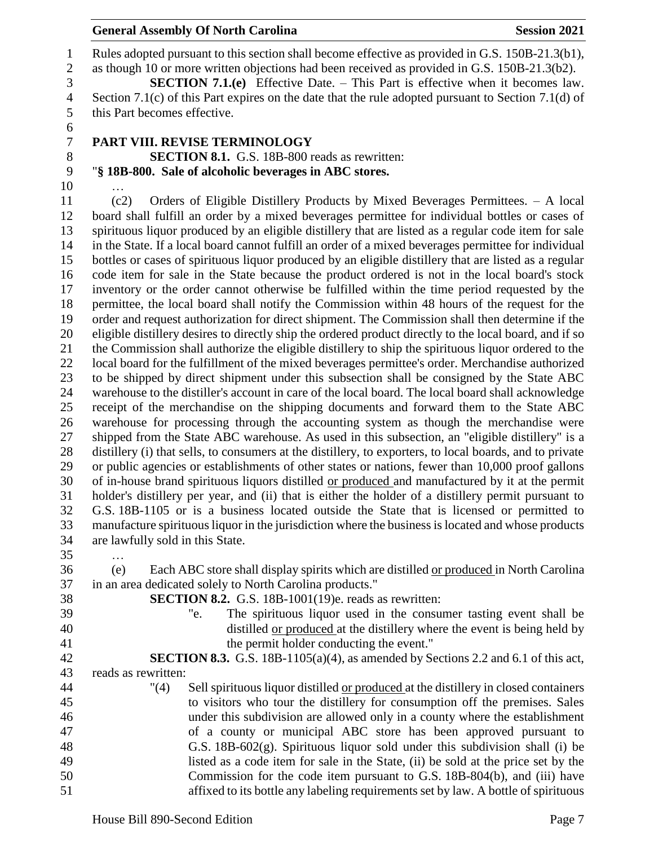## **General Assembly Of North Carolina Session 2021**

 Rules adopted pursuant to this section shall become effective as provided in G.S. 150B-21.3(b1), as though 10 or more written objections had been received as provided in G.S. 150B-21.3(b2). **SECTION 7.1.(e)** Effective Date. – This Part is effective when it becomes law. Section 7.1(c) of this Part expires on the date that the rule adopted pursuant to Section 7.1(d) of this Part becomes effective.

- 
- **PART VIII. REVISE TERMINOLOGY**

**SECTION 8.1.** G.S. 18B-800 reads as rewritten:

"**§ 18B-800. Sale of alcoholic beverages in ABC stores.**

- … (c2) Orders of Eligible Distillery Products by Mixed Beverages Permittees. – A local board shall fulfill an order by a mixed beverages permittee for individual bottles or cases of spirituous liquor produced by an eligible distillery that are listed as a regular code item for sale in the State. If a local board cannot fulfill an order of a mixed beverages permittee for individual bottles or cases of spirituous liquor produced by an eligible distillery that are listed as a regular code item for sale in the State because the product ordered is not in the local board's stock inventory or the order cannot otherwise be fulfilled within the time period requested by the permittee, the local board shall notify the Commission within 48 hours of the request for the order and request authorization for direct shipment. The Commission shall then determine if the eligible distillery desires to directly ship the ordered product directly to the local board, and if so the Commission shall authorize the eligible distillery to ship the spirituous liquor ordered to the local board for the fulfillment of the mixed beverages permittee's order. Merchandise authorized to be shipped by direct shipment under this subsection shall be consigned by the State ABC warehouse to the distiller's account in care of the local board. The local board shall acknowledge receipt of the merchandise on the shipping documents and forward them to the State ABC warehouse for processing through the accounting system as though the merchandise were shipped from the State ABC warehouse. As used in this subsection, an "eligible distillery" is a distillery (i) that sells, to consumers at the distillery, to exporters, to local boards, and to private or public agencies or establishments of other states or nations, fewer than 10,000 proof gallons of in-house brand spirituous liquors distilled or produced and manufactured by it at the permit holder's distillery per year, and (ii) that is either the holder of a distillery permit pursuant to G.S. 18B-1105 or is a business located outside the State that is licensed or permitted to manufacture spirituous liquor in the jurisdiction where the business is located and whose products are lawfully sold in this State.
- …
- (e) Each ABC store shall display spirits which are distilled or produced in North Carolina in an area dedicated solely to North Carolina products."
- 
- 
- **SECTION 8.2.** G.S. 18B-1001(19)e. reads as rewritten:
- "e. The spirituous liquor used in the consumer tasting event shall be distilled or produced at the distillery where the event is being held by the permit holder conducting the event."
- **SECTION 8.3.** G.S. 18B-1105(a)(4), as amended by Sections 2.2 and 6.1 of this act, reads as rewritten:

 "(4) Sell spirituous liquor distilled or produced at the distillery in closed containers to visitors who tour the distillery for consumption off the premises. Sales under this subdivision are allowed only in a county where the establishment of a county or municipal ABC store has been approved pursuant to G.S. 18B-602(g). Spirituous liquor sold under this subdivision shall (i) be listed as a code item for sale in the State, (ii) be sold at the price set by the Commission for the code item pursuant to G.S. 18B-804(b), and (iii) have affixed to its bottle any labeling requirements set by law. A bottle of spirituous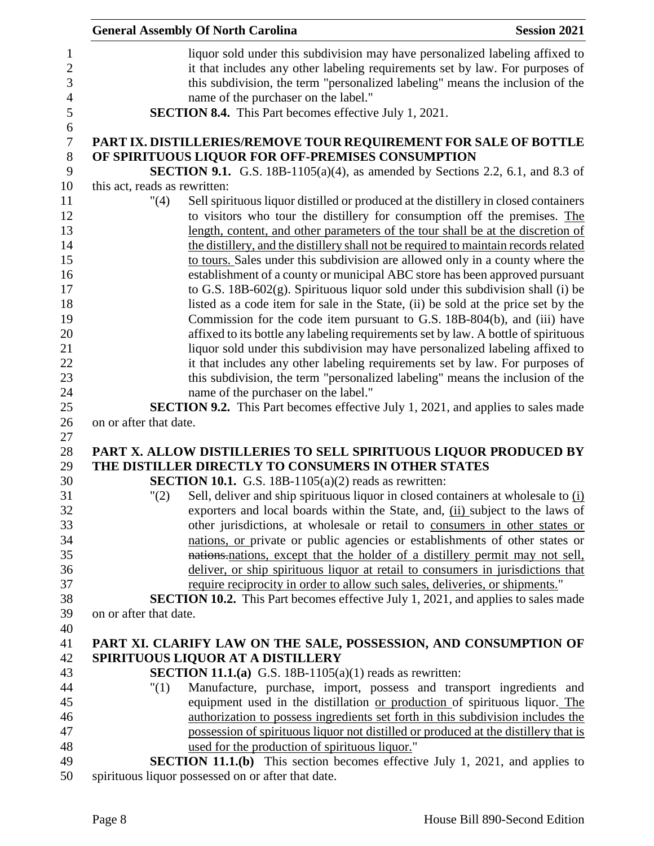|                               | <b>General Assembly Of North Carolina</b>                                                                                                                                                                                                                                                                                                                                                                                                                                                                                                                                                                                                                                                                                                                                                                                                                                                                                                                                                                                                                                                             | <b>Session 2021</b> |
|-------------------------------|-------------------------------------------------------------------------------------------------------------------------------------------------------------------------------------------------------------------------------------------------------------------------------------------------------------------------------------------------------------------------------------------------------------------------------------------------------------------------------------------------------------------------------------------------------------------------------------------------------------------------------------------------------------------------------------------------------------------------------------------------------------------------------------------------------------------------------------------------------------------------------------------------------------------------------------------------------------------------------------------------------------------------------------------------------------------------------------------------------|---------------------|
|                               | liquor sold under this subdivision may have personalized labeling affixed to<br>it that includes any other labeling requirements set by law. For purposes of<br>this subdivision, the term "personalized labeling" means the inclusion of the<br>name of the purchaser on the label."<br><b>SECTION 8.4.</b> This Part becomes effective July 1, 2021.                                                                                                                                                                                                                                                                                                                                                                                                                                                                                                                                                                                                                                                                                                                                                |                     |
|                               |                                                                                                                                                                                                                                                                                                                                                                                                                                                                                                                                                                                                                                                                                                                                                                                                                                                                                                                                                                                                                                                                                                       |                     |
|                               | PART IX. DISTILLERIES/REMOVE TOUR REQUIREMENT FOR SALE OF BOTTLE<br>OF SPIRITUOUS LIQUOR FOR OFF-PREMISES CONSUMPTION                                                                                                                                                                                                                                                                                                                                                                                                                                                                                                                                                                                                                                                                                                                                                                                                                                                                                                                                                                                 |                     |
|                               | <b>SECTION 9.1.</b> G.S. 18B-1105(a)(4), as amended by Sections 2.2, 6.1, and 8.3 of                                                                                                                                                                                                                                                                                                                                                                                                                                                                                                                                                                                                                                                                                                                                                                                                                                                                                                                                                                                                                  |                     |
| this act, reads as rewritten: |                                                                                                                                                                                                                                                                                                                                                                                                                                                                                                                                                                                                                                                                                                                                                                                                                                                                                                                                                                                                                                                                                                       |                     |
| "(4)                          | Sell spirituous liquor distilled or produced at the distillery in closed containers<br>to visitors who tour the distillery for consumption off the premises. The<br>length, content, and other parameters of the tour shall be at the discretion of<br>the distillery, and the distillery shall not be required to maintain records related<br>to tours. Sales under this subdivision are allowed only in a county where the<br>establishment of a county or municipal ABC store has been approved pursuant<br>to G.S. 18B-602(g). Spirituous liquor sold under this subdivision shall (i) be<br>listed as a code item for sale in the State, (ii) be sold at the price set by the<br>Commission for the code item pursuant to G.S. 18B-804(b), and (iii) have<br>affixed to its bottle any labeling requirements set by law. A bottle of spirituous<br>liquor sold under this subdivision may have personalized labeling affixed to<br>it that includes any other labeling requirements set by law. For purposes of<br>this subdivision, the term "personalized labeling" means the inclusion of the |                     |
|                               | name of the purchaser on the label."                                                                                                                                                                                                                                                                                                                                                                                                                                                                                                                                                                                                                                                                                                                                                                                                                                                                                                                                                                                                                                                                  |                     |
|                               | <b>SECTION 9.2.</b> This Part becomes effective July 1, 2021, and applies to sales made                                                                                                                                                                                                                                                                                                                                                                                                                                                                                                                                                                                                                                                                                                                                                                                                                                                                                                                                                                                                               |                     |
| on or after that date.        |                                                                                                                                                                                                                                                                                                                                                                                                                                                                                                                                                                                                                                                                                                                                                                                                                                                                                                                                                                                                                                                                                                       |                     |
|                               | PART X. ALLOW DISTILLERIES TO SELL SPIRITUOUS LIQUOR PRODUCED BY<br>THE DISTILLER DIRECTLY TO CONSUMERS IN OTHER STATES<br><b>SECTION 10.1.</b> G.S. 18B-1105(a)(2) reads as rewritten:                                                                                                                                                                                                                                                                                                                                                                                                                                                                                                                                                                                                                                                                                                                                                                                                                                                                                                               |                     |
| "(2)                          | Sell, deliver and ship spirituous liquor in closed containers at wholesale to $(i)$                                                                                                                                                                                                                                                                                                                                                                                                                                                                                                                                                                                                                                                                                                                                                                                                                                                                                                                                                                                                                   |                     |
|                               | exporters and local boards within the State, and, (ii) subject to the laws of                                                                                                                                                                                                                                                                                                                                                                                                                                                                                                                                                                                                                                                                                                                                                                                                                                                                                                                                                                                                                         |                     |
|                               | other jurisdictions, at wholesale or retail to consumers in other states or                                                                                                                                                                                                                                                                                                                                                                                                                                                                                                                                                                                                                                                                                                                                                                                                                                                                                                                                                                                                                           |                     |
|                               | nations, or private or public agencies or establishments of other states or                                                                                                                                                                                                                                                                                                                                                                                                                                                                                                                                                                                                                                                                                                                                                                                                                                                                                                                                                                                                                           |                     |
|                               | nations, nations, except that the holder of a distillery permit may not sell,                                                                                                                                                                                                                                                                                                                                                                                                                                                                                                                                                                                                                                                                                                                                                                                                                                                                                                                                                                                                                         |                     |
|                               | deliver, or ship spirituous liquor at retail to consumers in jurisdictions that                                                                                                                                                                                                                                                                                                                                                                                                                                                                                                                                                                                                                                                                                                                                                                                                                                                                                                                                                                                                                       |                     |
|                               | require reciprocity in order to allow such sales, deliveries, or shipments."                                                                                                                                                                                                                                                                                                                                                                                                                                                                                                                                                                                                                                                                                                                                                                                                                                                                                                                                                                                                                          |                     |
|                               | <b>SECTION 10.2.</b> This Part becomes effective July 1, 2021, and applies to sales made                                                                                                                                                                                                                                                                                                                                                                                                                                                                                                                                                                                                                                                                                                                                                                                                                                                                                                                                                                                                              |                     |
| on or after that date.        |                                                                                                                                                                                                                                                                                                                                                                                                                                                                                                                                                                                                                                                                                                                                                                                                                                                                                                                                                                                                                                                                                                       |                     |
|                               | PART XI. CLARIFY LAW ON THE SALE, POSSESSION, AND CONSUMPTION OF                                                                                                                                                                                                                                                                                                                                                                                                                                                                                                                                                                                                                                                                                                                                                                                                                                                                                                                                                                                                                                      |                     |
|                               | SPIRITUOUS LIQUOR AT A DISTILLERY                                                                                                                                                                                                                                                                                                                                                                                                                                                                                                                                                                                                                                                                                                                                                                                                                                                                                                                                                                                                                                                                     |                     |
|                               | <b>SECTION 11.1.(a)</b> G.S. 18B-1105(a)(1) reads as rewritten:                                                                                                                                                                                                                                                                                                                                                                                                                                                                                                                                                                                                                                                                                                                                                                                                                                                                                                                                                                                                                                       |                     |
| "(1)                          | Manufacture, purchase, import, possess and transport ingredients and                                                                                                                                                                                                                                                                                                                                                                                                                                                                                                                                                                                                                                                                                                                                                                                                                                                                                                                                                                                                                                  |                     |
|                               | equipment used in the distillation or production of spirituous liquor. The                                                                                                                                                                                                                                                                                                                                                                                                                                                                                                                                                                                                                                                                                                                                                                                                                                                                                                                                                                                                                            |                     |
|                               | authorization to possess ingredients set forth in this subdivision includes the                                                                                                                                                                                                                                                                                                                                                                                                                                                                                                                                                                                                                                                                                                                                                                                                                                                                                                                                                                                                                       |                     |
|                               | possession of spirituous liquor not distilled or produced at the distillery that is                                                                                                                                                                                                                                                                                                                                                                                                                                                                                                                                                                                                                                                                                                                                                                                                                                                                                                                                                                                                                   |                     |
|                               | used for the production of spirituous liquor."                                                                                                                                                                                                                                                                                                                                                                                                                                                                                                                                                                                                                                                                                                                                                                                                                                                                                                                                                                                                                                                        |                     |
|                               | <b>SECTION 11.1.(b)</b> This section becomes effective July 1, 2021, and applies to                                                                                                                                                                                                                                                                                                                                                                                                                                                                                                                                                                                                                                                                                                                                                                                                                                                                                                                                                                                                                   |                     |
|                               | spirituous liquor possessed on or after that date.                                                                                                                                                                                                                                                                                                                                                                                                                                                                                                                                                                                                                                                                                                                                                                                                                                                                                                                                                                                                                                                    |                     |
|                               |                                                                                                                                                                                                                                                                                                                                                                                                                                                                                                                                                                                                                                                                                                                                                                                                                                                                                                                                                                                                                                                                                                       |                     |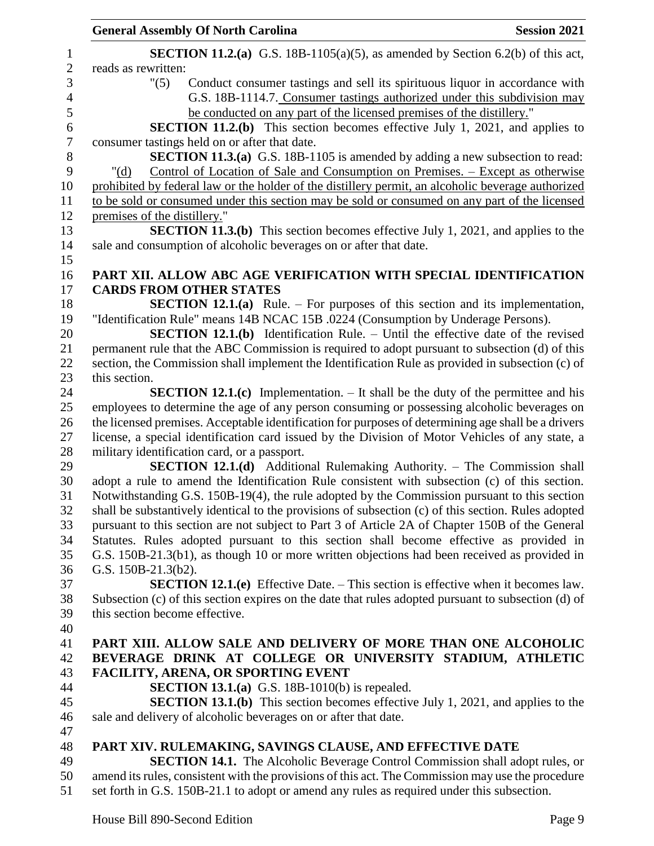|                                | <b>General Assembly Of North Carolina</b>                                                           | <b>Session 2021</b> |
|--------------------------------|-----------------------------------------------------------------------------------------------------|---------------------|
|                                | <b>SECTION 11.2.(a)</b> G.S. 18B-1105(a)(5), as amended by Section 6.2(b) of this act,              |                     |
| reads as rewritten:            |                                                                                                     |                     |
| "(5)                           | Conduct consumer tastings and sell its spirituous liquor in accordance with                         |                     |
|                                | G.S. 18B-1114.7. Consumer tastings authorized under this subdivision may                            |                     |
|                                | be conducted on any part of the licensed premises of the distillery."                               |                     |
|                                | <b>SECTION 11.2.(b)</b> This section becomes effective July 1, 2021, and applies to                 |                     |
|                                | consumer tastings held on or after that date.                                                       |                     |
|                                | <b>SECTION 11.3.(a)</b> G.S. 18B-1105 is amended by adding a new subsection to read:                |                     |
| " $(d)$                        | Control of Location of Sale and Consumption on Premises. – Except as otherwise                      |                     |
|                                | prohibited by federal law or the holder of the distillery permit, an alcoholic beverage authorized  |                     |
|                                | to be sold or consumed under this section may be sold or consumed on any part of the licensed       |                     |
| premises of the distillery."   |                                                                                                     |                     |
|                                | <b>SECTION 11.3.(b)</b> This section becomes effective July 1, 2021, and applies to the             |                     |
|                                | sale and consumption of alcoholic beverages on or after that date.                                  |                     |
|                                |                                                                                                     |                     |
|                                | PART XII. ALLOW ABC AGE VERIFICATION WITH SPECIAL IDENTIFICATION<br><b>CARDS FROM OTHER STATES</b>  |                     |
|                                | <b>SECTION 12.1.(a)</b> Rule. – For purposes of this section and its implementation,                |                     |
|                                | "Identification Rule" means 14B NCAC 15B .0224 (Consumption by Underage Persons).                   |                     |
|                                | <b>SECTION 12.1.(b)</b> Identification Rule. – Until the effective date of the revised              |                     |
|                                | permanent rule that the ABC Commission is required to adopt pursuant to subsection (d) of this      |                     |
|                                | section, the Commission shall implement the Identification Rule as provided in subsection (c) of    |                     |
| this section.                  |                                                                                                     |                     |
|                                | <b>SECTION 12.1.(c)</b> Implementation. $-$ It shall be the duty of the permittee and his           |                     |
|                                | employees to determine the age of any person consuming or possessing alcoholic beverages on         |                     |
|                                | the licensed premises. Acceptable identification for purposes of determining age shall be a drivers |                     |
|                                | license, a special identification card issued by the Division of Motor Vehicles of any state, a     |                     |
|                                | military identification card, or a passport.                                                        |                     |
|                                | <b>SECTION 12.1.(d)</b> Additional Rulemaking Authority. – The Commission shall                     |                     |
|                                | adopt a rule to amend the Identification Rule consistent with subsection (c) of this section.       |                     |
|                                | Notwithstanding G.S. 150B-19(4), the rule adopted by the Commission pursuant to this section        |                     |
|                                | shall be substantively identical to the provisions of subsection (c) of this section. Rules adopted |                     |
|                                | pursuant to this section are not subject to Part 3 of Article 2A of Chapter 150B of the General     |                     |
|                                | Statutes. Rules adopted pursuant to this section shall become effective as provided in              |                     |
|                                | G.S. 150B-21.3(b1), as though 10 or more written objections had been received as provided in        |                     |
| G.S. 150B-21.3(b2).            |                                                                                                     |                     |
|                                | <b>SECTION 12.1.(e)</b> Effective Date. – This section is effective when it becomes law.            |                     |
| this section become effective. | Subsection (c) of this section expires on the date that rules adopted pursuant to subsection (d) of |                     |
|                                |                                                                                                     |                     |
|                                | PART XIII. ALLOW SALE AND DELIVERY OF MORE THAN ONE ALCOHOLIC                                       |                     |
|                                | BEVERAGE DRINK AT COLLEGE OR UNIVERSITY STADIUM, ATHLETIC                                           |                     |
|                                | <b>FACILITY, ARENA, OR SPORTING EVENT</b>                                                           |                     |
|                                | <b>SECTION 13.1.(a)</b> G.S. 18B-1010(b) is repealed.                                               |                     |
|                                | <b>SECTION 13.1.(b)</b> This section becomes effective July 1, 2021, and applies to the             |                     |
|                                | sale and delivery of alcoholic beverages on or after that date.                                     |                     |
|                                |                                                                                                     |                     |
|                                | PART XIV. RULEMAKING, SAVINGS CLAUSE, AND EFFECTIVE DATE                                            |                     |
|                                | <b>SECTION 14.1.</b> The Alcoholic Beverage Control Commission shall adopt rules, or                |                     |
|                                | amend its rules, consistent with the provisions of this act. The Commission may use the procedure   |                     |
|                                | set forth in G.S. 150B-21.1 to adopt or amend any rules as required under this subsection.          |                     |